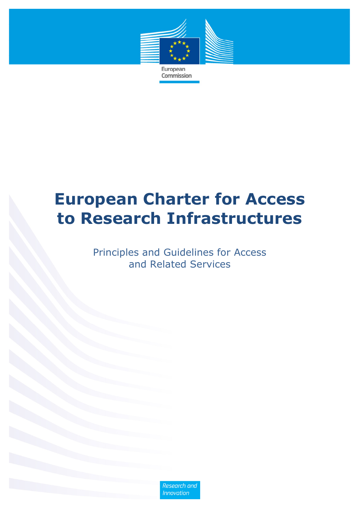

European Commission

# **European Charter for Access to Research Infrastructures**

Principles and Guidelines for Access and Related Services

> **Research and Innovation**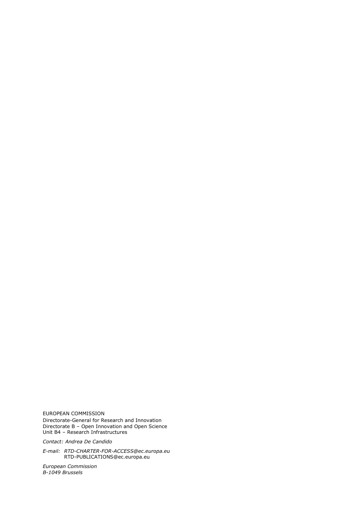EUROPEAN COMMISSION Directorate-General for Research and Innovation Directorate B – Open Innovation and Open Science Unit B4 – Research Infrastructures

*Contact: Andrea De Candido* 

*E-mail: RTD-CHARTER-FOR-ACCESS@ec.europa.eu*  RTD-PUBLICATIONS@ec.europa.eu

*European Commission B-1049 Brussels*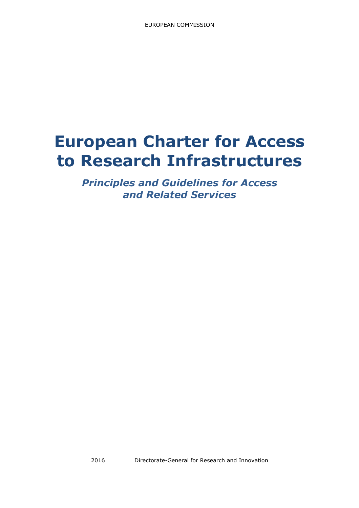# **European Charter for Access to Research Infrastructures**

*Principles and Guidelines for Access and Related Services*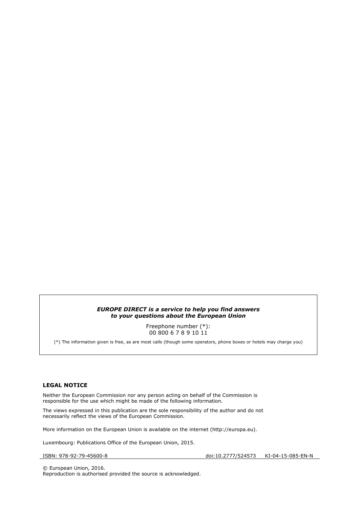#### *EUROPE DIRECT is a service to help you find answers to your questions about the European Union*

Freephone number (\*): 00 800 6 7 8 9 10 11

(\*) The information given is free, as are most calls (though some operators, phone boxes or hotels may charge you)

#### **LEGAL NOTICE**

Neither the European Commission nor any person acting on behalf of the Commission is responsible for the use which might be made of the following information.

The views expressed in this publication are the sole responsibility of the author and do not necessarily reflect the views of the European Commission.

More information on the European Union is available on the internet (http://europa.eu).

Luxembourg: Publications Office of the European Union, 2015.

ISBN: 978-92-79-45600-8 doi:10.2777/524573 KI-04-15-085-EN-N

© European Union, 2016. Reproduction is authorised provided the source is acknowledged.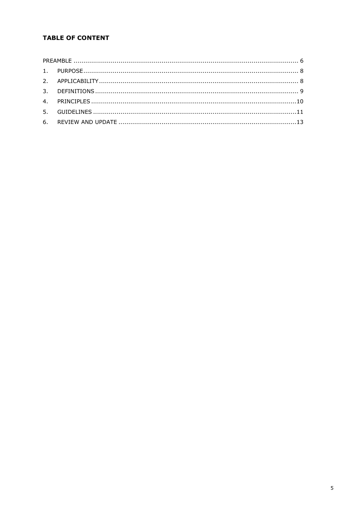# **TABLE OF CONTENT**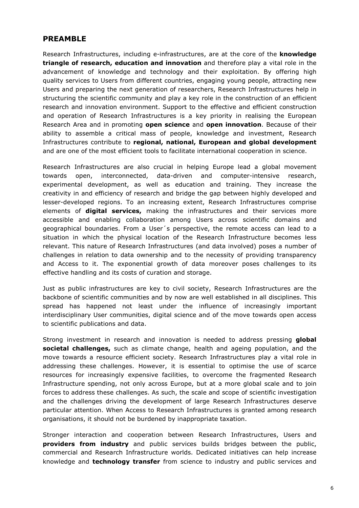## **PREAMBLE**

Research Infrastructures, including e-infrastructures, are at the core of the **knowledge triangle of research, education and innovation** and therefore play a vital role in the advancement of knowledge and technology and their exploitation. By offering high quality services to Users from different countries, engaging young people, attracting new Users and preparing the next generation of researchers, Research Infrastructures help in structuring the scientific community and play a key role in the construction of an efficient research and innovation environment. Support to the effective and efficient construction and operation of Research Infrastructures is a key priority in realising the European Research Area and in promoting **open science** and **open innovation**. Because of their ability to assemble a critical mass of people, knowledge and investment, Research Infrastructures contribute to **regional, national, European and global development**  and are one of the most efficient tools to facilitate international cooperation in science.

Research Infrastructures are also crucial in helping Europe lead a global movement towards open, interconnected, data-driven and computer-intensive research, experimental development, as well as education and training. They increase the creativity in and efficiency of research and bridge the gap between highly developed and lesser-developed regions. To an increasing extent, Research Infrastructures comprise elements of **digital services,** making the infrastructures and their services more accessible and enabling collaboration among Users across scientific domains and geographical boundaries. From a User´s perspective, the remote access can lead to a situation in which the physical location of the Research Infrastructure becomes less relevant. This nature of Research Infrastructures (and data involved) poses a number of challenges in relation to data ownership and to the necessity of providing transparency and Access to it. The exponential growth of data moreover poses challenges to its effective handling and its costs of curation and storage.

Just as public infrastructures are key to civil society, Research Infrastructures are the backbone of scientific communities and by now are well established in all disciplines. This spread has happened not least under the influence of increasingly important interdisciplinary User communities, digital science and of the move towards open access to scientific publications and data.

Strong investment in research and innovation is needed to address pressing **global societal challenges,** such as climate change, health and ageing population, and the move towards a resource efficient society. Research Infrastructures play a vital role in addressing these challenges. However, it is essential to optimise the use of scarce resources for increasingly expensive facilities, to overcome the fragmented Research Infrastructure spending, not only across Europe, but at a more global scale and to join forces to address these challenges. As such, the scale and scope of scientific investigation and the challenges driving the development of large Research Infrastructures deserve particular attention. When Access to Research Infrastructures is granted among research organisations, it should not be burdened by inappropriate taxation.

Stronger interaction and cooperation between Research Infrastructures, Users and **providers from industry** and public services builds bridges between the public, commercial and Research Infrastructure worlds. Dedicated initiatives can help increase knowledge and **technology transfer** from science to industry and public services and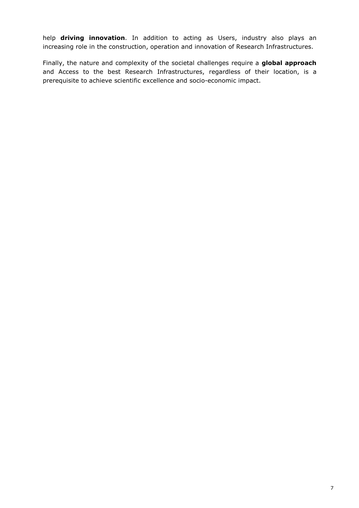help **driving innovation**. In addition to acting as Users, industry also plays an increasing role in the construction, operation and innovation of Research Infrastructures.

Finally, the nature and complexity of the societal challenges require a **global approach** and Access to the best Research Infrastructures, regardless of their location, is a prerequisite to achieve scientific excellence and socio-economic impact.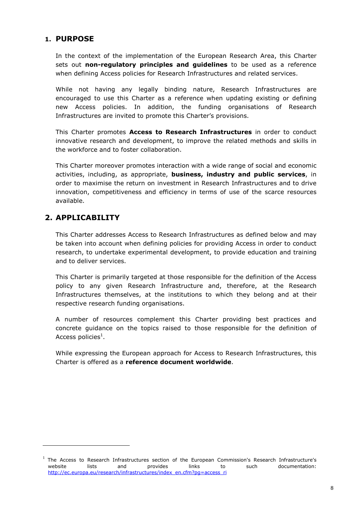# **1. PURPOSE**

In the context of the implementation of the European Research Area, this Charter sets out **non-regulatory principles and guidelines** to be used as a reference when defining Access policies for Research Infrastructures and related services.

While not having any legally binding nature, Research Infrastructures are encouraged to use this Charter as a reference when updating existing or defining new Access policies. In addition, the funding organisations of Research Infrastructures are invited to promote this Charter's provisions.

This Charter promotes **Access to Research Infrastructures** in order to conduct innovative research and development, to improve the related methods and skills in the workforce and to foster collaboration.

This Charter moreover promotes interaction with a wide range of social and economic activities, including, as appropriate, **business, industry and public services**, in order to maximise the return on investment in Research Infrastructures and to drive innovation, competitiveness and efficiency in terms of use of the scarce resources available.

# **2. APPLICABILITY**

 $\overline{a}$ 

This Charter addresses Access to Research Infrastructures as defined below and may be taken into account when defining policies for providing Access in order to conduct research, to undertake experimental development, to provide education and training and to deliver services.

This Charter is primarily targeted at those responsible for the definition of the Access policy to any given Research Infrastructure and, therefore, at the Research Infrastructures themselves, at the institutions to which they belong and at their respective research funding organisations.

A number of resources complement this Charter providing best practices and concrete guidance on the topics raised to those responsible for the definition of Access policies $^{\rm 1}.$ 

While expressing the European approach for Access to Research Infrastructures, this Charter is offered as a **reference document worldwide**.

<sup>&</sup>lt;sup>1</sup> The Access to Research Infrastructures section of the European Commission's Research Infrastructure's website lists and provides links to such documentation: http://ec.europa.eu/research/infrastructures/index\_en.cfm?pg=access\_ri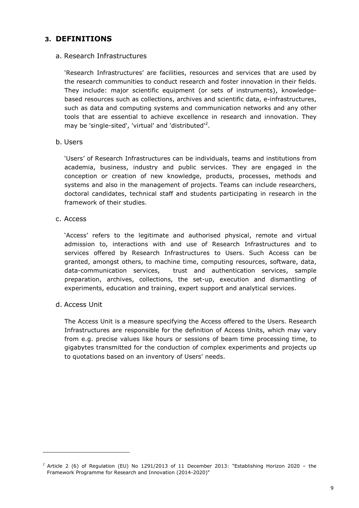## **3. DEFINITIONS**

#### a. Research Infrastructures

'Research Infrastructures' are facilities, resources and services that are used by the research communities to conduct research and foster innovation in their fields. They include: major scientific equipment (or sets of instruments), knowledgebased resources such as collections, archives and scientific data, e-infrastructures, such as data and computing systems and communication networks and any other tools that are essential to achieve excellence in research and innovation. They may be 'single-sited', 'virtual' and 'distributed'<sup>2</sup>.

b. Users

'Users' of Research Infrastructures can be individuals, teams and institutions from academia, business, industry and public services. They are engaged in the conception or creation of new knowledge, products, processes, methods and systems and also in the management of projects. Teams can include researchers, doctoral candidates, technical staff and students participating in research in the framework of their studies.

c. Access

'Access' refers to the legitimate and authorised physical, remote and virtual admission to, interactions with and use of Research Infrastructures and to services offered by Research Infrastructures to Users. Such Access can be granted, amongst others, to machine time, computing resources, software, data, data-communication services, trust and authentication services, sample preparation, archives, collections, the set-up, execution and dismantling of experiments, education and training, expert support and analytical services.

d. Access Unit

 $\overline{a}$ 

The Access Unit is a measure specifying the Access offered to the Users. Research Infrastructures are responsible for the definition of Access Units, which may vary from e.g. precise values like hours or sessions of beam time processing time, to gigabytes transmitted for the conduction of complex experiments and projects up to quotations based on an inventory of Users' needs.

 $2$  Article 2 (6) of Regulation (EU) No 1291/2013 of 11 December 2013: "Establishing Horizon 2020 – the Framework Programme for Research and Innovation (2014-2020)"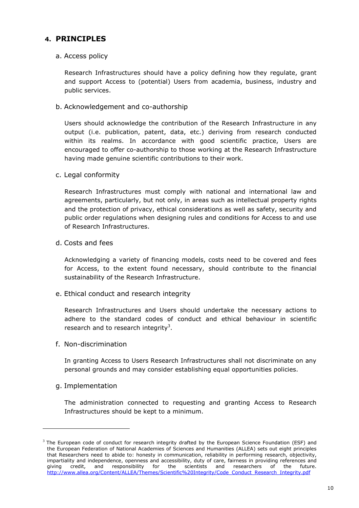# **4. PRINCIPLES**

## a. Access policy

Research Infrastructures should have a policy defining how they regulate, grant and support Access to (potential) Users from academia, business, industry and public services.

b. Acknowledgement and co-authorship

Users should acknowledge the contribution of the Research Infrastructure in any output (i.e. publication, patent, data, etc.) deriving from research conducted within its realms. In accordance with good scientific practice, Users are encouraged to offer co-authorship to those working at the Research Infrastructure having made genuine scientific contributions to their work.

## c. Legal conformity

Research Infrastructures must comply with national and international law and agreements, particularly, but not only, in areas such as intellectual property rights and the protection of privacy, ethical considerations as well as safety, security and public order regulations when designing rules and conditions for Access to and use of Research Infrastructures.

d. Costs and fees

Acknowledging a variety of financing models, costs need to be covered and fees for Access, to the extent found necessary, should contribute to the financial sustainability of the Research Infrastructure.

e. Ethical conduct and research integrity

Research Infrastructures and Users should undertake the necessary actions to adhere to the standard codes of conduct and ethical behaviour in scientific research and to research integrity<sup>3</sup>.

f. Non-discrimination

In granting Access to Users Research Infrastructures shall not discriminate on any personal grounds and may consider establishing equal opportunities policies.

## g. Implementation

 $\overline{a}$ 

The administration connected to requesting and granting Access to Research Infrastructures should be kept to a minimum.

 $3$  The European code of conduct for research integrity drafted by the European Science Foundation (ESF) and the European Federation of National Academies of Sciences and Humanities (ALLEA) sets out eight principles that Researchers need to abide to: honesty in communication, reliability in performing research, objectivity, impartiality and independence, openness and accessibility, duty of care, fairness in providing references and giving credit, and responsibility for the scientists and researchers of the future. http://www.allea.org/Content/ALLEA/Themes/Scientific%20Integrity/Code\_Conduct\_Research\_Integrity.pdf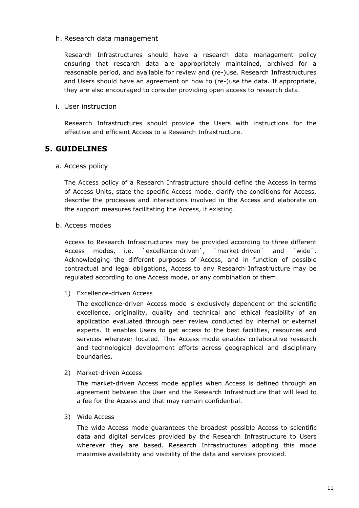#### h. Research data management

Research Infrastructures should have a research data management policy ensuring that research data are appropriately maintained, archived for a reasonable period, and available for review and (re-)use. Research Infrastructures and Users should have an agreement on how to (re-)use the data. If appropriate, they are also encouraged to consider providing open access to research data.

## i. User instruction

Research Infrastructures should provide the Users with instructions for the effective and efficient Access to a Research Infrastructure.

## **5. GUIDELINES**

#### a. Access policy

The Access policy of a Research Infrastructure should define the Access in terms of Access Units, state the specific Access mode, clarify the conditions for Access, describe the processes and interactions involved in the Access and elaborate on the support measures facilitating the Access, if existing.

## b. Access modes

Access to Research Infrastructures may be provided according to three different Access modes, i.e. `excellence-driven`, `market-driven` and `wide`. Acknowledging the different purposes of Access, and in function of possible contractual and legal obligations, Access to any Research Infrastructure may be regulated according to one Access mode, or any combination of them.

#### 1) Excellence-driven Access

The excellence-driven Access mode is exclusively dependent on the scientific excellence, originality, quality and technical and ethical feasibility of an application evaluated through peer review conducted by internal or external experts. It enables Users to get access to the best facilities, resources and services wherever located. This Access mode enables collaborative research and technological development efforts across geographical and disciplinary boundaries.

#### 2) Market-driven Access

The market-driven Access mode applies when Access is defined through an agreement between the User and the Research Infrastructure that will lead to a fee for the Access and that may remain confidential.

#### 3) Wide Access

The wide Access mode guarantees the broadest possible Access to scientific data and digital services provided by the Research Infrastructure to Users wherever they are based. Research Infrastructures adopting this mode maximise availability and visibility of the data and services provided.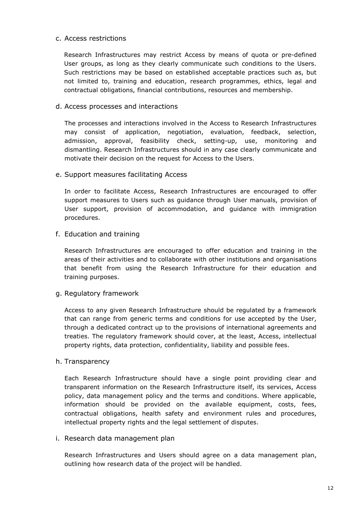## c. Access restrictions

Research Infrastructures may restrict Access by means of quota or pre-defined User groups, as long as they clearly communicate such conditions to the Users. Such restrictions may be based on established acceptable practices such as, but not limited to, training and education, research programmes, ethics, legal and contractual obligations, financial contributions, resources and membership.

## d. Access processes and interactions

The processes and interactions involved in the Access to Research Infrastructures may consist of application, negotiation, evaluation, feedback, selection, admission, approval, feasibility check, setting-up, use, monitoring and dismantling. Research Infrastructures should in any case clearly communicate and motivate their decision on the request for Access to the Users.

## e. Support measures facilitating Access

In order to facilitate Access, Research Infrastructures are encouraged to offer support measures to Users such as guidance through User manuals, provision of User support, provision of accommodation, and guidance with immigration procedures.

## f. Education and training

Research Infrastructures are encouraged to offer education and training in the areas of their activities and to collaborate with other institutions and organisations that benefit from using the Research Infrastructure for their education and training purposes.

#### g. Regulatory framework

Access to any given Research Infrastructure should be regulated by a framework that can range from generic terms and conditions for use accepted by the User, through a dedicated contract up to the provisions of international agreements and treaties. The regulatory framework should cover, at the least, Access, intellectual property rights, data protection, confidentiality, liability and possible fees.

#### h. Transparency

Each Research Infrastructure should have a single point providing clear and transparent information on the Research Infrastructure itself, its services, Access policy, data management policy and the terms and conditions. Where applicable, information should be provided on the available equipment, costs, fees, contractual obligations, health safety and environment rules and procedures, intellectual property rights and the legal settlement of disputes.

#### i. Research data management plan

Research Infrastructures and Users should agree on a data management plan, outlining how research data of the project will be handled.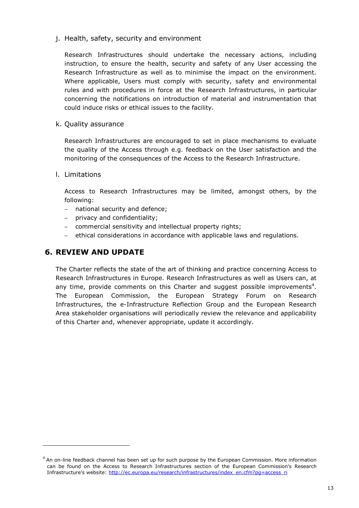j. Health, safety, security and environment

Research Infrastructures should undertake the necessary actions, including instruction, to ensure the health, security and safety of any User accessing the Research Infrastructure as well as to minimise the impact on the environment. Where applicable, Users must comply with security, safety and environmental rules and with procedures in force at the Research Infrastructures, in particular concerning the notifications on introduction of material and instrumentation that could induce risks or ethical issues to the facility.

k. Quality assurance

Research Infrastructures are encouraged to set in place mechanisms to evaluate the quality of the Access through e.g. feedback on the User satisfaction and the monitoring of the consequences of the Access to the Research Infrastructure.

l. Limitations

 $\overline{a}$ 

Access to Research Infrastructures may be limited, amongst others, by the following:

- − national security and defence;
- − privacy and confidentiality;
- − commercial sensitivity and intellectual property rights;
- − ethical considerations in accordance with applicable laws and regulations.

# **6. REVIEW AND UPDATE**

The Charter reflects the state of the art of thinking and practice concerning Access to Research Infrastructures in Europe. Research Infrastructures as well as Users can, at any time, provide comments on this Charter and suggest possible improvements<sup>4</sup>. The European Commission, the European Strategy Forum on Research Infrastructures, the e-Infrastructure Reflection Group and the European Research Area stakeholder organisations will periodically review the relevance and applicability of this Charter and, whenever appropriate, update it accordingly.

 $4$  An on-line feedback channel has been set up for such purpose by the European Commission. More information can be found on the Access to Research Infrastructures section of the European Commission's Research Infrastructure's website: http://ec.europa.eu/research/infrastructures/index\_en.cfm?pg=access\_ri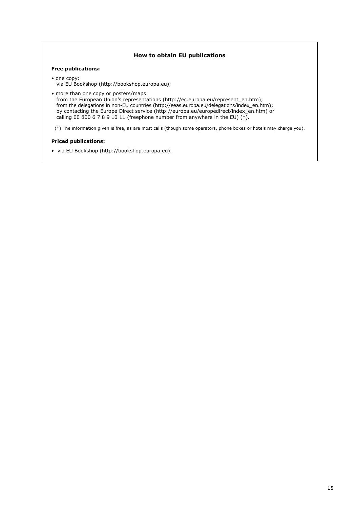#### **How to obtain EU publications**

#### **Free publications:**

- one copy: via EU Bookshop (http://bookshop.europa.eu);
- more than one copy or posters/maps: from the European Union's representations (http://ec.europa.eu/represent\_en.htm); from the delegations in non-EU countries (http://eeas.europa.eu/delegations/index\_en.htm); by contacting the Europe Direct service (http://europa.eu/europedirect/index\_en.htm) or calling 00 800 6 7 8 9 10 11 (freephone number from anywhere in the EU)  $(*)$ .

(\*) The information given is free, as are most calls (though some operators, phone boxes or hotels may charge you).

#### **Priced publications:**

• via EU Bookshop (http://bookshop.europa.eu).